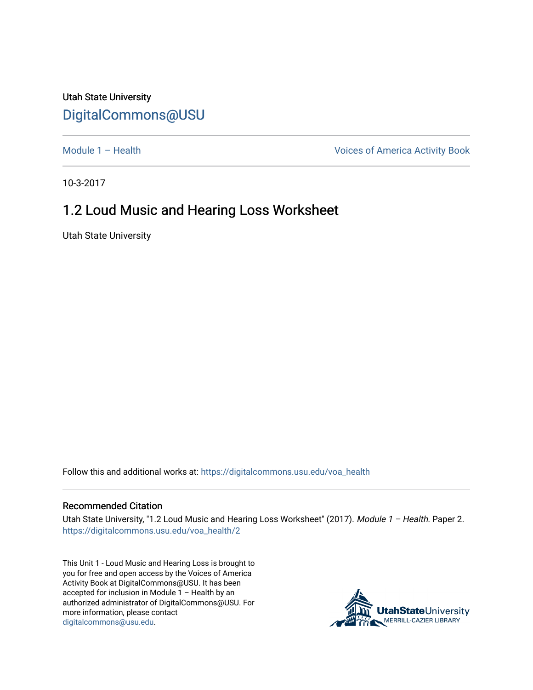## Utah State University [DigitalCommons@USU](https://digitalcommons.usu.edu/)

[Module 1 – Health](https://digitalcommons.usu.edu/voa_health) Module 1 – Health Voices of America Activity Book

10-3-2017

## 1.2 Loud Music and Hearing Loss Worksheet

Utah State University

Follow this and additional works at: [https://digitalcommons.usu.edu/voa\\_health](https://digitalcommons.usu.edu/voa_health?utm_source=digitalcommons.usu.edu%2Fvoa_health%2F2&utm_medium=PDF&utm_campaign=PDFCoverPages)

## Recommended Citation

Utah State University, "1.2 Loud Music and Hearing Loss Worksheet" (2017). Module 1 - Health. Paper 2. [https://digitalcommons.usu.edu/voa\\_health/2](https://digitalcommons.usu.edu/voa_health/2?utm_source=digitalcommons.usu.edu%2Fvoa_health%2F2&utm_medium=PDF&utm_campaign=PDFCoverPages)

This Unit 1 - Loud Music and Hearing Loss is brought to you for free and open access by the Voices of America Activity Book at DigitalCommons@USU. It has been accepted for inclusion in Module 1 – Health by an authorized administrator of DigitalCommons@USU. For more information, please contact [digitalcommons@usu.edu.](mailto:digitalcommons@usu.edu)

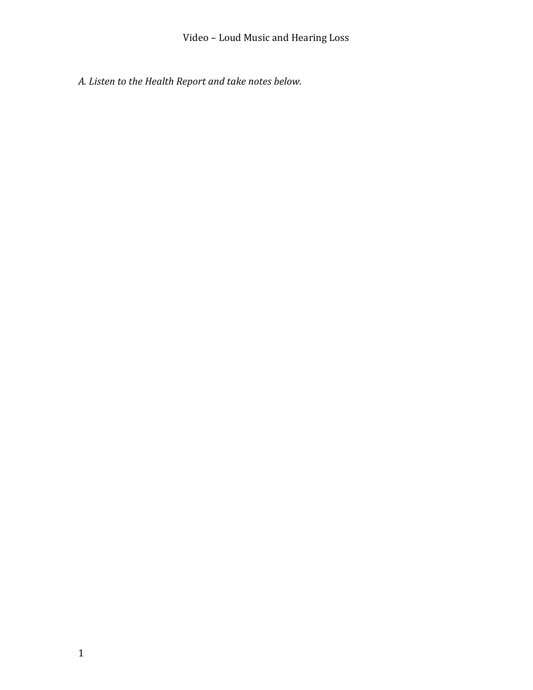*A. Listen to the Health Report and take notes below.*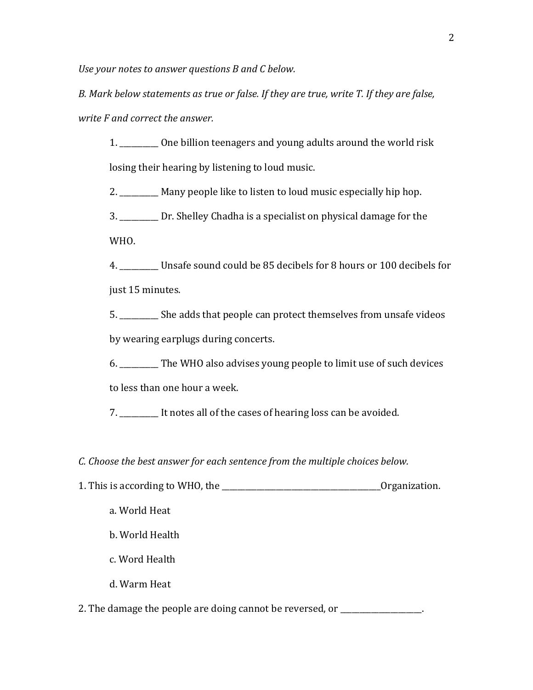*Use your notes to answer questions B and C below.*

*B. Mark below statements as true or false. If they are true, write T. If they are false, write F and correct the answer.*

1. \_\_\_\_\_\_\_\_\_\_ One billion teenagers and young adults around the world risk losing their hearing by listening to loud music.

2. \_\_\_\_\_\_\_\_\_\_ Many people like to listen to loud music especially hip hop.

3. \_\_\_\_\_\_\_\_\_\_ Dr. Shelley Chadha is a specialist on physical damage for the WHO.

4. \_\_\_\_\_\_\_\_\_\_ Unsafe sound could be 85 decibels for 8 hours or 100 decibels for just 15 minutes.

5. \_\_\_\_\_\_\_\_\_\_ She adds that people can protect themselves from unsafe videos by wearing earplugs during concerts.

6. \_\_\_\_\_\_\_\_\_\_ The WHO also advises young people to limit use of such devices

to less than one hour a week.

7. \_\_\_\_\_\_\_\_\_\_ It notes all of the cases of hearing loss can be avoided.

*C. Choose the best answer for each sentence from the multiple choices below.* 

- 1. This is according to WHO, the \_\_\_\_\_\_\_\_\_\_\_\_\_\_\_\_\_\_\_\_\_\_\_\_\_\_\_\_\_\_\_\_\_\_\_\_\_\_\_\_\_Organization.
	- a. World Heat
	- b. World Health
	- c. Word Health
	- d. Warm Heat

2. The damage the people are doing cannot be reversed, or \_\_\_\_\_\_\_\_\_\_\_\_\_\_\_\_\_\_\_\_\_\_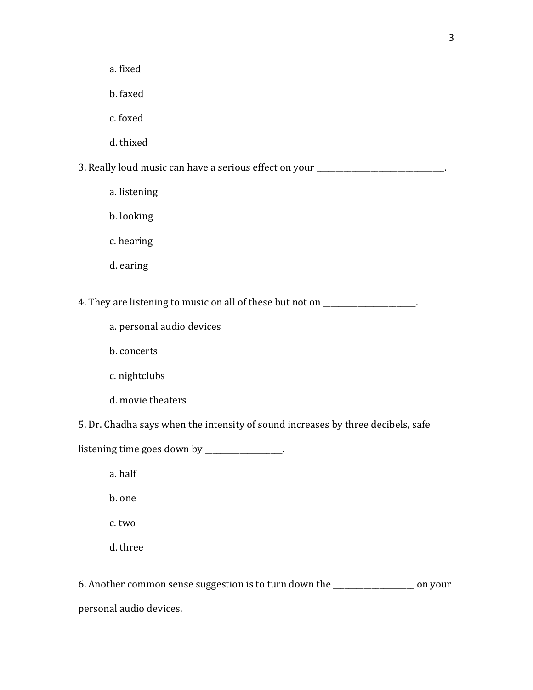a. fixed

b. faxed

c. foxed

d. thixed

3. Really loud music can have a serious effect on your \_\_\_\_\_\_\_\_\_\_\_\_\_\_\_\_\_\_\_\_\_\_\_\_\_

a. listening

b. looking

c. hearing

d. earing

4. They are listening to music on all of these but not on \_\_\_\_\_\_\_\_\_\_\_\_\_\_\_\_\_\_\_\_.

a. personal audio devices

b. concerts

c. nightclubs

d. movie theaters

5. Dr. Chadha says when the intensity of sound increases by three decibels, safe

listening time goes down by \_\_\_\_\_\_\_\_\_\_\_\_\_\_\_\_.

a. half

b. one

c. two

d. three

6. Another common sense suggestion is to turn down the \_\_\_\_\_\_\_\_\_\_\_\_\_\_\_\_\_\_\_\_\_ on your personal audio devices.